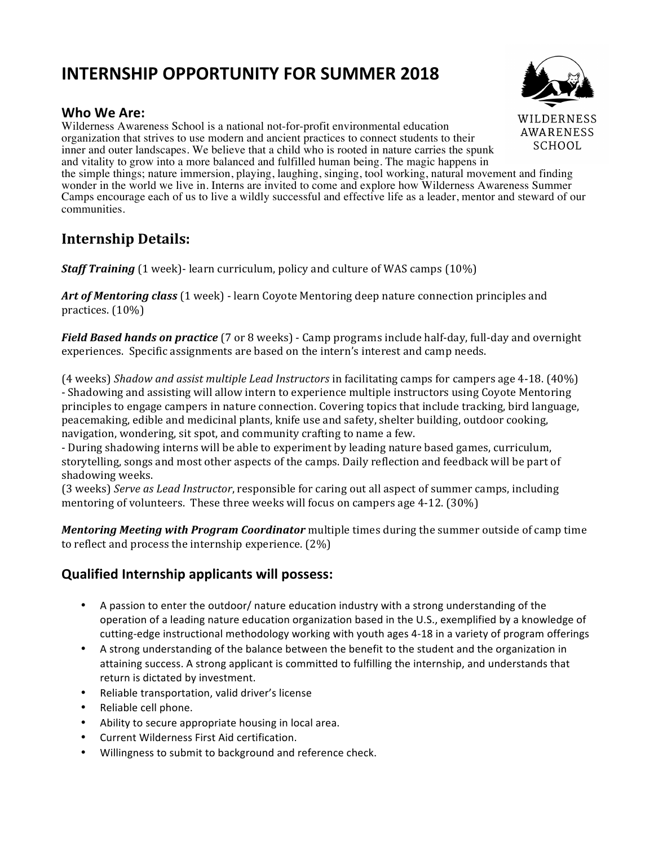# **INTERNSHIP OPPORTUNITY FOR SUMMER 2018**

## **Who We Are:**

Wilderness Awareness School is a national not-for-profit environmental education organization that strives to use modern and ancient practices to connect students to their SCHOOL inner and outer landscapes. We believe that a child who is rooted in nature carries the spunk and vitality to grow into a more balanced and fulfilled human being. The magic happens in the simple things; nature immersion, playing, laughing, singing, tool working, natural movement and finding wonder in the world we live in. Interns are invited to come and explore how Wilderness Awareness Summer Camps encourage each of us to live a wildly successful and effective life as a leader, mentor and steward of our communities.

## **Internship Details:**

*Staff Training* (1 week)- learn curriculum, policy and culture of WAS camps (10%)

Art of Mentoring *class* (1 week) - learn Coyote Mentoring deep nature connection principles and practices. (10%)

*Field Based hands on practice* (7 or 8 weeks) - Camp programs include half-day, full-day and overnight experiences. Specific assignments are based on the intern's interest and camp needs.

(4 weeks) *Shadow and assist multiple Lead Instructors* in facilitating camps for campers age 4-18. (40%) - Shadowing and assisting will allow intern to experience multiple instructors using Coyote Mentoring principles to engage campers in nature connection. Covering topics that include tracking, bird language, peacemaking, edible and medicinal plants, knife use and safety, shelter building, outdoor cooking, navigation, wondering, sit spot, and community crafting to name a few.

- During shadowing interns will be able to experiment by leading nature based games, curriculum, storytelling, songs and most other aspects of the camps. Daily reflection and feedback will be part of shadowing weeks.

(3 weeks) *Serve as Lead Instructor*, responsible for caring out all aspect of summer camps, including mentoring of volunteers. These three weeks will focus on campers age  $4-12$ . (30%)

*Mentoring Meeting with Program Coordinator* multiple times during the summer outside of camp time to reflect and process the internship experience.  $(2\%)$ 

## **Qualified Internship applicants will possess:**

- A passion to enter the outdoor/ nature education industry with a strong understanding of the operation of a leading nature education organization based in the U.S., exemplified by a knowledge of cutting-edge instructional methodology working with youth ages 4-18 in a variety of program offerings
- A strong understanding of the balance between the benefit to the student and the organization in attaining success. A strong applicant is committed to fulfilling the internship, and understands that return is dictated by investment.
- Reliable transportation, valid driver's license
- Reliable cell phone.
- Ability to secure appropriate housing in local area.
- Current Wilderness First Aid certification.
- Willingness to submit to background and reference check.